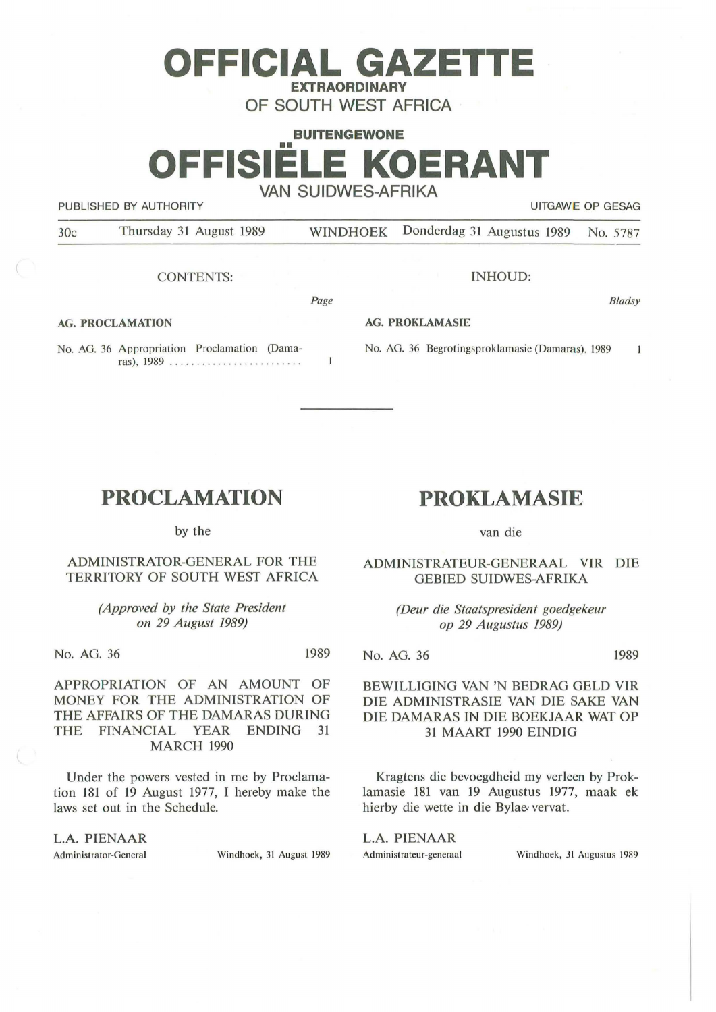# **BUITENGEWONE**  •• **OFFISIELE KOERANT VAN SUIDWES-AFRIKA**

**OFFICIAL GAZETTE EXTRAORDINARY OF SOUTH WEST AFRICA** 

PUBLISHED BY AUTHORITY **EXECUTE A SECURE 2018 THE SECULITY** UITGAWE OP GESAG

30c Thursday 31 August 1989 WINDHOEK Donderdag 31 Augustus 1989 No. 5787

Page

 $\mathbf{1}$ 

CONTENTS:

INHOUD:

No. AG. 36 Begrotingsproklamasie (Damaras), 1989

**AG. PROKLAMASIE** 

**Bladsy** 

 $\mathbf{1}$ 

### **AG. PROCLAMATION**

No. AG. 36 Appropriation Proclamation (Damaras), 1989 ...........................

## **PROCLAMATION**

by the

ADMINISTRATOR-GENERAL FOR THE TERRITORY OF SOUTH WEST AFRICA

> *(Approved by the State President on 29 August 1989)*

No. AG. 36 1989

APPROPRIATION OF AN AMOUNT OF MONEY FOR THE ADMINISTRATION OF THE AFFAIRS OF THE DAMARAS DURING THE FINANCIAL YEAR ENDING 31 MARCH 1990

Under the powers vested in me by Proclamation 181 of 19 August 1977, I hereby make the laws set out in the Schedule.

L.A. PIENAAR

Administrator-General Windhoek, 31 August 1989

**PROKLAMASIE** 

van die

ADMINISTRATEUR-GENERAAL VIR DIE GEBIED SUIDWES-AFRIKA

> *(Deur die Staatspresident goedgekeur op 29 Augustus 1989)*

No. AG. 36 1989

BEWILLIGING VAN 'N BEDRAG GELD VIR DIE ADMINISTRASIE VAN DIE SAKE VAN DIE DAMARAS IN DIE BOEKJAAR WAT OP 31 MAART 1990 EINDIG

Kragtens die bevoegdheid my verleen by Proklamasie 181 van 19 Augustus 1977, maak ek hierby die wette in die Bylae· vervat.

L.A. PIENAAR

Administrateur-generaal Windhoek, 31 Augustus 1989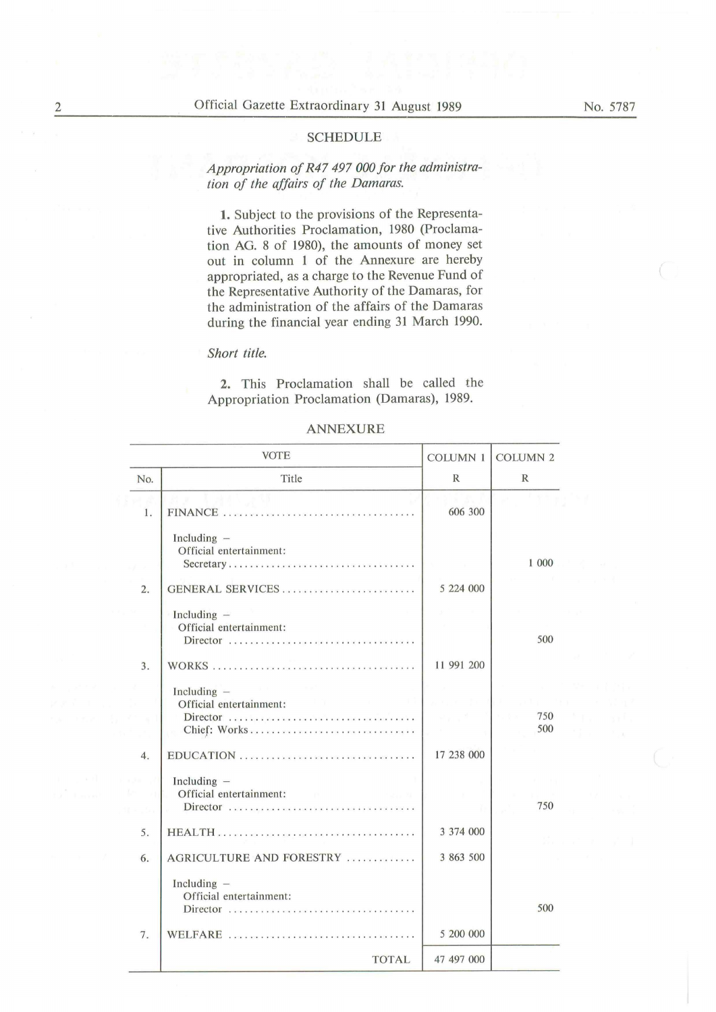#### SCHEDULE

*Appropriation of R47 497 000 for the administration of the affairs of the Damaras.* 

1. Subject to the provisions of the Representative Authorities Proclamation, 1980 (Proclamation AG. 8 of 1980), the amounts of money set out in column 1 of the Annexure are hereby appropriated, as a charge to the Revenue Fund of the Representative Authority of the Damaras, for the administration of the affairs of the Damaras during the financial year ending 31 March 1990.

#### *Short title.*

**2.** This Proclamation shall be called the Appropriation Proclamation (Damaras), 1989.

| <b>ANNEXURE</b> |
|-----------------|
|-----------------|

|     | <b>VOTE</b>                                                             | <b>COLUMN 1</b><br>R | <b>COLUMN 2</b><br>R |
|-----|-------------------------------------------------------------------------|----------------------|----------------------|
| No. | Title                                                                   |                      |                      |
| 1.  |                                                                         | 606 300              |                      |
|     | Including -<br>Official entertainment:<br>Secretary                     |                      | 1 000                |
| 2.  | GENERAL SERVICES                                                        | 5 224 000            |                      |
|     | Including $-$<br>Official entertainment:<br>Director                    |                      | 500                  |
| 3.  |                                                                         | 11 991 200           |                      |
|     | Including $-$<br>Official entertainment:<br>Director<br>Chief: Works    |                      | 750<br>500           |
| 4.  | EDUCATION                                                               | 17 238 000           |                      |
|     | Including -<br>Official entertainment:<br><b>CONTRACTOR</b><br>Director |                      | 750                  |
| 5.  |                                                                         | 3 374 000            |                      |
| 6.  | AGRICULTURE AND FORESTRY                                                | 3 863 500            |                      |
|     | Including $-$<br>Official entertainment:<br>Director                    |                      | 500                  |
| 7.  |                                                                         | 5 200 000            |                      |
|     | <b>TOTAL</b>                                                            | 47 497 000           |                      |